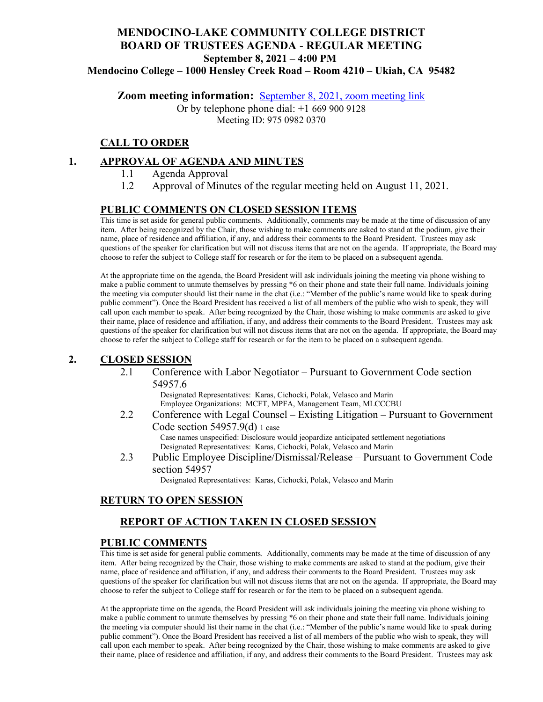# **MENDOCINO-LAKE COMMUNITY COLLEGE DISTRICT BOARD OF TRUSTEES AGENDA** - **REGULAR MEETING September 8, 2021 – 4:00 PM**

**Mendocino College – 1000 Hensley Creek Road – Room 4210 – Ukiah, CA 95482**

**Zoom meeting information:** September 8, 2021, [zoom meeting link](https://mendocino-edu.zoom.us/j/97509820370)

Or by telephone phone dial: +1 669 900 9128 Meeting ID: 975 0982 0370

### **CALL TO ORDER**

### **1. APPROVAL OF AGENDA AND MINUTES**

- 1.1 Agenda Approval
- 1.2 Approval of Minutes of the regular meeting held on August 11, 2021.

#### **PUBLIC COMMENTS ON CLOSED SESSION ITEMS**

This time is set aside for general public comments. Additionally, comments may be made at the time of discussion of any item. After being recognized by the Chair, those wishing to make comments are asked to stand at the podium, give their name, place of residence and affiliation, if any, and address their comments to the Board President. Trustees may ask questions of the speaker for clarification but will not discuss items that are not on the agenda. If appropriate, the Board may choose to refer the subject to College staff for research or for the item to be placed on a subsequent agenda.

At the appropriate time on the agenda, the Board President will ask individuals joining the meeting via phone wishing to make a public comment to unmute themselves by pressing \*6 on their phone and state their full name. Individuals joining the meeting via computer should list their name in the chat (i.e.: "Member of the public's name would like to speak during public comment"). Once the Board President has received a list of all members of the public who wish to speak, they will call upon each member to speak. After being recognized by the Chair, those wishing to make comments are asked to give their name, place of residence and affiliation, if any, and address their comments to the Board President. Trustees may ask questions of the speaker for clarification but will not discuss items that are not on the agenda. If appropriate, the Board may choose to refer the subject to College staff for research or for the item to be placed on a subsequent agenda.

### **2. CLOSED SESSION**

2.1 Conference with Labor Negotiator – Pursuant to Government Code section 54957.6

> Designated Representatives: Karas, Cichocki, Polak, Velasco and Marin Employee Organizations: MCFT, MPFA, Management Team, MLCCCBU

- 2.2 Conference with Legal Counsel Existing Litigation Pursuant to Government Code section 54957.9(d) 1 case Case names unspecified: Disclosure would jeopardize anticipated settlement negotiations Designated Representatives: Karas, Cichocki, Polak, Velasco and Marin 2.3 Public Employee Discipline/Dismissal/Release – Pursuant to Government Code
- section 54957

Designated Representatives: Karas, Cichocki, Polak, Velasco and Marin

### **RETURN TO OPEN SESSION**

### **REPORT OF ACTION TAKEN IN CLOSED SESSION**

#### **PUBLIC COMMENTS**

This time is set aside for general public comments. Additionally, comments may be made at the time of discussion of any item. After being recognized by the Chair, those wishing to make comments are asked to stand at the podium, give their name, place of residence and affiliation, if any, and address their comments to the Board President. Trustees may ask questions of the speaker for clarification but will not discuss items that are not on the agenda. If appropriate, the Board may choose to refer the subject to College staff for research or for the item to be placed on a subsequent agenda.

At the appropriate time on the agenda, the Board President will ask individuals joining the meeting via phone wishing to make a public comment to unmute themselves by pressing \*6 on their phone and state their full name. Individuals joining the meeting via computer should list their name in the chat (i.e.: "Member of the public's name would like to speak during public comment"). Once the Board President has received a list of all members of the public who wish to speak, they will call upon each member to speak. After being recognized by the Chair, those wishing to make comments are asked to give their name, place of residence and affiliation, if any, and address their comments to the Board President. Trustees may ask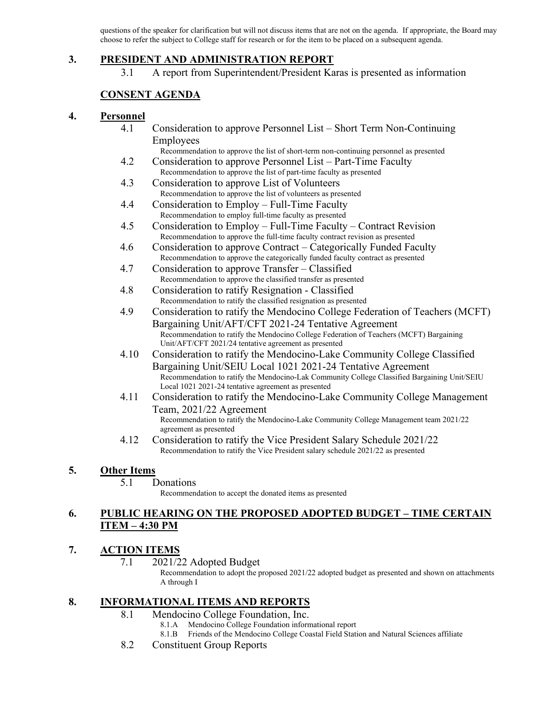questions of the speaker for clarification but will not discuss items that are not on the agenda. If appropriate, the Board may choose to refer the subject to College staff for research or for the item to be placed on a subsequent agenda.

### **3. PRESIDENT AND ADMINISTRATION REPORT**

3.1 A report from Superintendent/President Karas is presented as information

## **CONSENT AGENDA**

### **4. Personnel**

- 4.1 Consideration to approve Personnel List Short Term Non-Continuing Employees
	- Recommendation to approve the list of short-term non-continuing personnel as presented
- 4.2 Consideration to approve Personnel List Part-Time Faculty Recommendation to approve the list of part-time faculty as presented
- 4.3 Consideration to approve List of Volunteers Recommendation to approve the list of volunteers as presented
- 4.4 Consideration to Employ Full-Time Faculty Recommendation to employ full-time faculty as presented
- 4.5 Consideration to Employ Full-Time Faculty Contract Revision Recommendation to approve the full-time faculty contract revision as presented
- 4.6 Consideration to approve Contract Categorically Funded Faculty Recommendation to approve the categorically funded faculty contract as presented
- 4.7 Consideration to approve Transfer Classified Recommendation to approve the classified transfer as presented
- 4.8 Consideration to ratify Resignation Classified Recommendation to ratify the classified resignation as presented
- 4.9 Consideration to ratify the Mendocino College Federation of Teachers (MCFT) Bargaining Unit/AFT/CFT 2021-24 Tentative Agreement Recommendation to ratify the Mendocino College Federation of Teachers (MCFT) Bargaining Unit/AFT/CFT 2021/24 tentative agreement as presented
- 4.10 Consideration to ratify the Mendocino-Lake Community College Classified Bargaining Unit/SEIU Local 1021 2021-24 Tentative Agreement Recommendation to ratify the Mendocino-Lak Community College Classified Bargaining Unit/SEIU Local 1021 2021-24 tentative agreement as presented
- 4.11 Consideration to ratify the Mendocino-Lake Community College Management Team, 2021/22 Agreement Recommendation to ratify the Mendocino-Lake Community College Management team 2021/22 agreement as presented
- 4.12 Consideration to ratify the Vice President Salary Schedule 2021/22 Recommendation to ratify the Vice President salary schedule 2021/22 as presented

## **5. Other Items**

#### 5.1 Donations

Recommendation to accept the donated items as presented

### **6. PUBLIC HEARING ON THE PROPOSED ADOPTED BUDGET – TIME CERTAIN ITEM – 4:30 PM**

## **7. ACTION ITEMS**

7.1 2021/22 Adopted Budget

Recommendation to adopt the proposed 2021/22 adopted budget as presented and shown on attachments A through I

## **8. INFORMATIONAL ITEMS AND REPORTS**

- 8.1 Mendocino College Foundation, Inc.
	- 8.1.A Mendocino College Foundation informational report
	- 8.1.B Friends of the Mendocino College Coastal Field Station and Natural Sciences affiliate
- 8.2 Constituent Group Reports